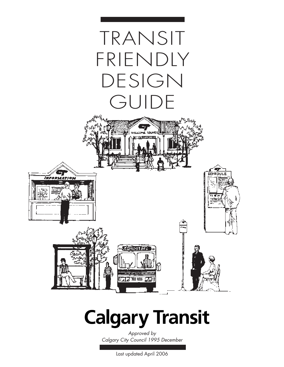

## **Calgary Transit**

*Approved by Calgary City Council 1995 December*

Last updated April 2006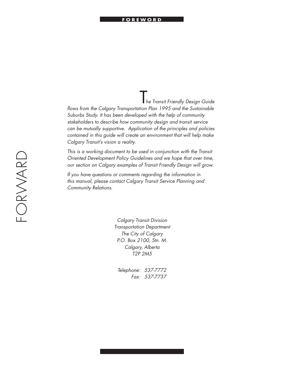#### **FOREWORD**

T*he Transit Friendly Design Guide flows from the Calgary Transportation Plan 1995 and the Sustainable Suburbs Study. It has been developed with the help of community stakeholders to describe how community design and transit service can be mutually supportive. Application of the principles and policies contained in this guide will create an environment that will help make Calgary Transit's vision a reality.*

*This is a working document to be used in conjunction with the Transit Oriented Development Policy Guidelines and we hope that over time, our section on Calgary examples of Transit Friendly Design will grow.*

*If you have questions or comments regarding the information in this manual, please contact Calgary Transit Service Planning and Community Relations.*

> *Calgary Transit Division Transportation Department The City of Calgary P.O. Box 2100, Stn. M. Calgary, Alberta T2P 2M5*

 *Telephone: 537-7772 Fax: 537-7737*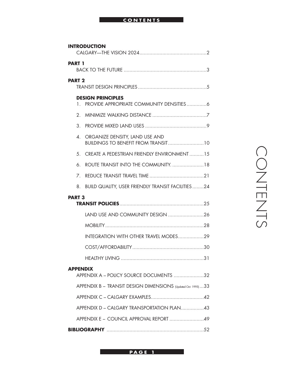#### **CONTENTS**

| <b>INTRODUCTION</b>                                        |                                                              |  |
|------------------------------------------------------------|--------------------------------------------------------------|--|
| <b>PART 1</b>                                              |                                                              |  |
| <b>PART 2</b>                                              |                                                              |  |
| 1.                                                         | <b>DESIGN PRINCIPLES</b>                                     |  |
| $2_{-}$                                                    |                                                              |  |
| 3.                                                         |                                                              |  |
| 4.                                                         | ORGANIZE DENSITY, LAND USE AND                               |  |
|                                                            | 5. CREATE A PEDESTRIAN FRIENDLY ENVIRONMENT15                |  |
| 6.                                                         | ROUTE TRANSIT INTO THE COMMUNITY18                           |  |
| 7 <sub>1</sub>                                             |                                                              |  |
| 8.                                                         | <b>BUILD QUALITY, USER FRIENDLY TRANSIT FACILITIES24</b>     |  |
| <b>PART 3</b>                                              |                                                              |  |
|                                                            |                                                              |  |
|                                                            |                                                              |  |
|                                                            | INTEGRATION WITH OTHER TRAVEL MODES29                        |  |
|                                                            |                                                              |  |
|                                                            |                                                              |  |
| <b>APPENDIX</b><br>APPENDIX A - POLICY SOURCE DOCUMENTS 32 |                                                              |  |
|                                                            | APPENDIX B - TRANSIT DESIGN DIMENSIONS (Updated Oct. 1995)33 |  |
|                                                            |                                                              |  |
|                                                            | APPENDIX D - CALGARY TRANSPORTATION PLAN43                   |  |
|                                                            | APPENDIX E - COUNCIL APPROVAL REPORT 49                      |  |
|                                                            |                                                              |  |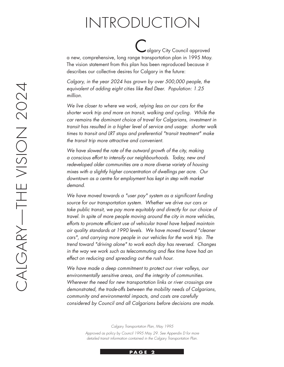## INTRODUCTION

algary City Council approved<br>Calgary City Council approved a new, comprehensive, long range transportation plan in 1995 May. The vision statement from this plan has been reproduced because it describes our collective desires for Calgary in the future:

*Calgary, in the year 2024 has grown by over 500,000 people, the equivalent of adding eight cities like Red Deer. Population: 1.25 million.*

*We live closer to where we work, relying less on our cars for the shorter work trip and more on transit, walking and cycling. While the car remains the dominant choice of travel for Calgarians, investment in transit has resulted in a higher level of service and usage: shorter walk times to transit and LRT stops and preferential "transit treatment" make the transit trip more attractive and convenient.*

*We have slowed the rate of the outward growth of the city, making a conscious effort to intensify our neighbourhoods. Today, new and redeveloped older communities are a more diverse variety of housing mixes with a slightly higher concentration of dwellings per acre. Our downtown as a centre for employment has kept in step with market demand.*

*We have moved towards a "user pay" system as a significant funding source for our transportation system. Whether we drive our cars or take public transit, we pay more equitably and directly for our choice of travel. In spite of more people moving around the city in more vehicles, efforts to promote efficient use of vehicular travel have helped maintain air quality standards at 1990 levels. We have moved toward "cleaner cars", and carrying more people in our vehicles for the work trip. The trend toward "driving alone" to work each day has reversed. Changes in the way we work such as telecommuting and flex time have had an effect on reducing and spreading out the rush hour.*

*We have made a deep commitment to protect our river valleys, our environmentally sensitive areas, and the integrity of communities. Wherever the need for new transportation links or river crossings are demonstrated, the trade-offs between the mobility needs of Calgarians, community and environmental impacts, and costs are carefully considered by Council and all Calgarians before decisions are made.*

*Calgary Transportation Plan, May 1995*

*Approved as policy by Council 1995 May 29. See Appendix D for more detailed transit information contained in the Calgary Transportation Plan.*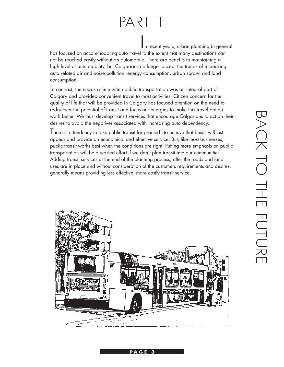## PART 1

In recent years, urban planning in general

has focused on accommodating auto travel to the extent that many destinations can not be reached easily without an automobile. There are benefits to maintaining a high level of auto mobility, but Calgarians no longer accept the trends of increasing auto related air and noise pollution, energy consumption, urban sprawl and land

consumption.<br>In contrast, there was a time when public transportation was an integral part of Calgary and provided convenient travel to most activities. Citizen concern for the quality of life that will be provided in Calgary has focused attention on the need to rediscover the potential of transit and focus our energies to make this travel option work better. We must develop transit services that encourage Calgarians to act on their desires to avoid the negatives associated with increasing auto dependency.

There is a tendency to take public transit for granted - to believe that buses will just appear and provide an economical and effective service. But, like most businesses, public transit works best when the conditions are right. Putting more emphasis on public transportation will be a wasted effort if we don't plan transit into our communities. Adding transit services at the end of the planning process, after the roads and land uses are in place and without consideration of the customers requirements and desires, generally means providing less effective, more costly transit service.

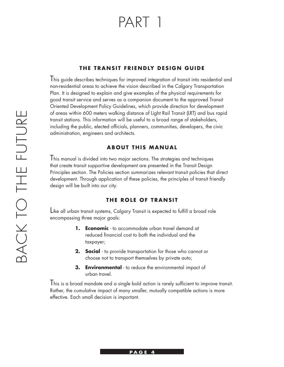## PART 1

#### **THE TRANSIT FRIENDLY DESIGN GUIDE**

I his guide describes techniques for improved integration of transit into residential and non-residential areas to achieve the vision described in the Calgary Transportation Plan. It is designed to explain and give examples of the physical requirements for good transit service and serves as a companion document to the approved Transit Oriented Development Policy Guidelines, which provide direction for development of areas within 600 meters walking distance of Light Rail Transit (LRT) and bus rapid transit stations. This information will be useful to a broad range of stakeholders, including the public, elected officials, planners, communities, developers, the civic administration, engineers and architects.

#### **ABOUT THIS MANUAL**

This manual is divided into two major sections. The strategies and techniques that create transit supportive development are presented in the Transit Design Principles section. The Policies section summarizes relevant transit policies that direct development. Through application of these policies, the principles of transit friendly design will be built into our city.

#### **THE ROLE OF TRANSIT**

Like all urban transit systems, Calgary Transit is expected to fulfill a broad role encompassing three major goals:

- **1. Economic** to accommodate urban travel demand at reduced financial cost to both the individual and the taxpayer;
- **2. Social** to provide transportation for those who cannot or choose not to transport themselves by private auto;
- **3. Environmental** to reduce the environmental impact of urban travel.

This is a broad mandate and a single bold action is rarely sufficient to improve transit. Rather, the cumulative impact of many smaller, mutually compatible actions is more effective. Each small decision is important.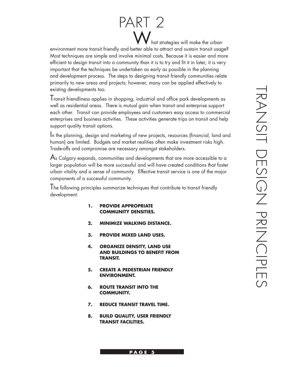## W hat strategies will make the urban PART 2

environment more transit friendly and better able to attract and sustain transit usage? Most techniques are simple and involve minimal costs. Because it is easier and more efficient to design transit into a community than it is to try and fit it in later, it is very important that the techniques be undertaken as early as possible in the planning and development process. The steps to designing transit friendly communities relate primarily to new areas and projects; however, many can be applied effectively to existing developments too.

Transit friendliness applies in shopping, industrial and office park developments as well as residential areas. There is mutual gain when transit and enterprise support each other. Transit can provide employees and customers easy access to commercial enterprises and business activities. These activities generate trips on transit and help support quality transit options.

In the planning, design and marketing of new projects, resources (financial, land and human) are limited. Budgets and market realities often make investment risks high. Trade-offs and compromise are necessary amongst stakeholders.

 $\mathsf A$ s Calgary expands, communities and developments that are more accessible to a larger population will be more successful and will have created conditions that foster urban vitality and a sense of community. Effective transit service is one of the major components of a successful community.

The following principles summarize techniques that contribute to transit friendly development.

- **1. PROVIDE APPROPRIATE COMMUNITY DENSITIES.**
- **2. MINIMIZE WALKING DISTANCE.**
- **3. PROVIDE MIXED LAND USES.**
- **4. ORGANIZE DENSITY, LAND USE AND BUILDINGS TO BENEFIT FROM TRANSIT.**
- **5. CREATE A PEDESTRIAN FRIENDLY ENVIRONMENT.**
- **6. ROUTE TRANSIT INTO THE COMMUNITY.**
- **7. REDUCE TRANSIT TRAVEL TIME.**
- **8. BUILD QUALITY, USER FRIENDLY TRANSIT FACILITIES.**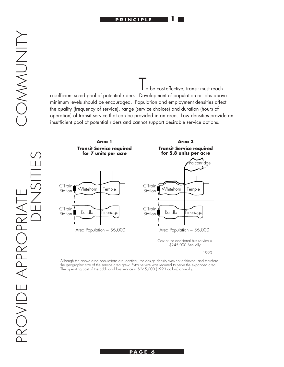

**1**

COMMUNITY

o be cost-effective, transit must reach a sufficient sized pool of potential riders. Development of population or jobs above minimum levels should be encouraged. Population and employment densities affect the quality (frequency of service), range (service choices) and duration (hours of operation) of transit service that can be provided in an area. Low densities provide an insufficient pool of potential riders and cannot support desirable service options.



1993

Although the above area populations are identical, the design density was not achieved, and therefore the geographic size of the service area grew. Extra service was required to serve the expanded area. The operating cost of the additional bus service is \$245,000 (1993 dollars) annually.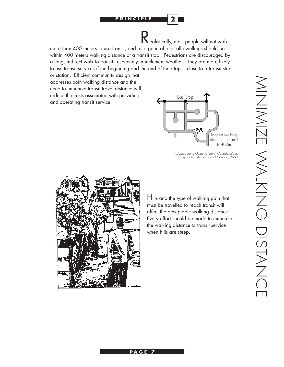#### **PRINCIPLE 2**

Realistically, most people will not walk

more than 400 meters to use transit, and as a general rule, all dwellings should be within 400 meters walking distance of a transit stop. Pedestrians are discouraged by a long, indirect walk to transit - especially in inclement weather. They are more likely to use transit services if the beginning and the end of their trip is close to a transit stop

or station. Efficient community design that addresses both walking distance and the need to minimize transit travel distance will reduce the costs associated with providing and operating transit service.



*Adapted from: Guide to Transit Considerations, Transportation Association of Canada, 1991*



Hills and the type of walking path that must be travelled to reach transit will affect the acceptable walking distance. Every effort should be made to minimize the walking distance to transit service when hills are steep.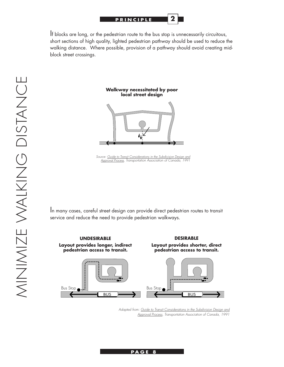

If blocks are long, or the pedestrian route to the bus stop is unnecessarily circuitous, short sections of high quality, lighted pedestrian pathway should be used to reduce the walking distance. Where possible, provision of a pathway should avoid creating midblock street crossings.

#### **Walkway necessitated by poor local street design**



*Source: Guide to Transit Considerations in the Subdivision Design and Approval Process, Transportation Association of Canada, 1991*

In many cases, careful street design can provide direct pedestrian routes to transit service and reduce the need to provide pedestrian walkways.

**UNDESIRABLE Layout provides longer, indirect pedestrian access to transit.**

**DESIRABLE Layout provides shorter, direct pedestrian access to transit.**



*Adapted from: Guide to Transit Considerations in the Subdivision Design and Approval Process, Transportation Association of Canada, 1991*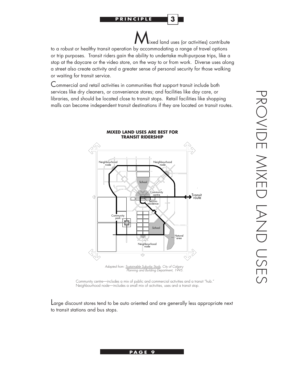**3**

ixed land uses (or activities) contribute to a robust or healthy transit operation by accommodating a range of travel options or trip purposes. Transit riders gain the ability to undertake multi-purpose trips, like a stop at the daycare or the video store, on the way to or from work. Diverse uses along a street also create activity and a greater sense of personal security for those walking or waiting for transit service.

Commercial and retail activities in communities that support transit include both services like dry cleaners, or convenience stores; and facilities like day care, or libraries, and should be located close to transit stops. Retail facilities like shopping malls can become independent transit destinations if they are located on transit routes.



Community centre—includes a mix of public and commercial activities and a transit "hub." Neighbourhood node—includes a small mix of activities, uses and a transit stop.

Large discount stores tend to be auto oriented and are generally less appropriate next to transit stations and bus stops.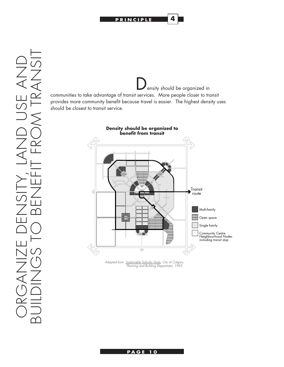

ensity should be organized in communities to take advantage of transit services. More people closer to transit provides more community benefit because travel is easier. The highest density uses should be closest to transit service.



*Adapted from: Sustainable Suburbs Study, City of Calgary Planning and Building Department, 1995.*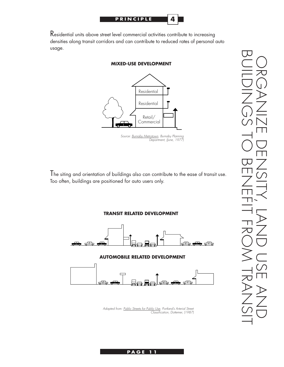

Residential units above street level commercial activities contribute to increasing densities along transit corridors and can contribute to reduced rates of personal auto usage.



#### **MIXED-USE DEVELOPMENT**

The siting and orientation of buildings also can contribute to the ease of transit use. Too often, buildings are positioned for auto users only.



*Adapted from: Public Streets for Public Use, Portland's Arterial Street Classification, Dottemer, (1987)*

BUILDINGS TO BENEFIT FROM TRANSIT ORGANIZE DENSITY, LAND USE AND I. L.

*Source: Burnaby Metrotown, Burnaby Planning Department, (June, 1977)*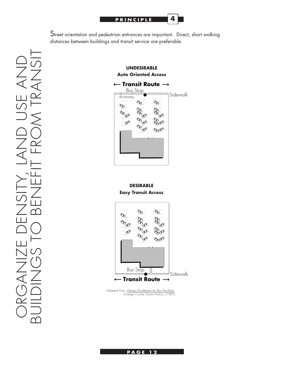

Street orientation and pedestrian entrances are important. Direct, short walking distances between buildings and transit service are preferable.



**DESIRABLE Easy Transit Access** 



*Adapted from: Design Guidelines for Bus Facilities, Orange County Transit District, (1987)*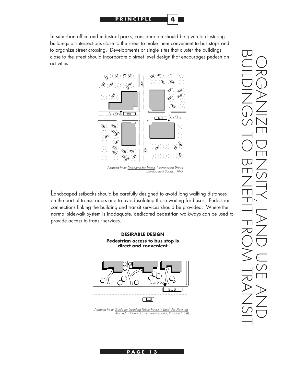

In suburban office and industrial parks, consideration should be given to clustering buildings at intersections close to the street to make them convenient to bus stops and to organize street crossing. Developments or single sites that cluster the buildings close to the street should incorporate a street level design that encourages pedestrian activities.



Landscaped setbacks should be carefully designed to avoid long walking distances on the part of transit riders and to avoid isolating those waiting for buses. Pedestrian connections linking the building and transit services should be provided. Where the normal sidewalk system is inadaquate, dedicated pedestrian walkways can be used to provide access to transit services.



*Alameda - Contra Costa Transit District, (Oakland, CA)*

BUILDINGS TO BENEFIT FROM TRANSIT ORGANIZE DENSITY, LAND USE AND I.  $\Box$ J.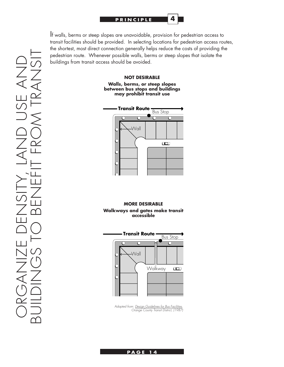

If walls, berms or steep slopes are unavoidable, provision for pedestrian access to transit facilities should be provided. In selecting locations for pedestrian access routes, the shortest, most direct connection generally helps reduce the costs of providing the pedestrian route. Whenever possible walls, berms or steep slopes that isolate the buildings from transit access should be avoided.

#### **NOT DESIRABLE Walls, berms, or steep slopes between bus stops and buildings may prohibit transit use**



#### **MORE DESIRABLE Walkways and gates make transit accessible**



*Adapted from: Design Guidelines for Bus Facilities, Orange County Transit District, (1987)*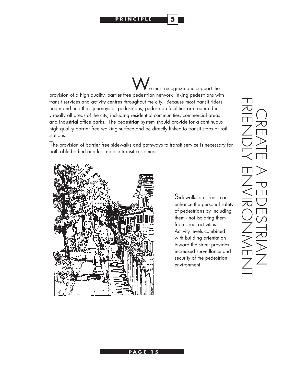**PRINCIPLE 5**

 $\epsilon$  e must recognize and support the provision of a high quality, barrier free pedestrian network linking pedestrians with transit services and activity centres throughout the city. Because most transit riders begin and end their journeys as pedestrians, pedestrian facilities are required in virtually all areas of the city, including residential communities, commercial areas and industrial office parks. The pedestrian system should provide for a continuous high quality barrier free walking surface and be directly linked to transit stops or rail stations.

The provision of barrier free sidewalks and pathways to transit service is necessary for both able bodied and less mobile transit customers.



Sidewalks on streets can enhance the personal safety of pedestrians by including them - not isolating them from street activities. Activity levels combined with building orientation toward the street provides increased surveillance and security of the pedestrian environment.

FRIENDIK ENVIRONNAENI CREATE A PEDESTRIAN П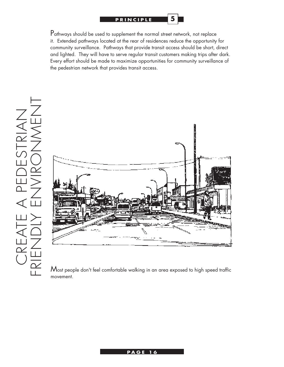

Pathways should be used to supplement the normal street network, not replace it. Extended pathways located at the rear of residences reduce the opportunity for community surveillance. Pathways that provide transit access should be short, direct and lighted. They will have to serve regular transit customers making trips after dark. Every effort should be made to maximize opportunities for community surveillance of the pedestrian network that provides transit access.

**5**



Most people don't feel comfortable walking in an area exposed to high speed traffic movement.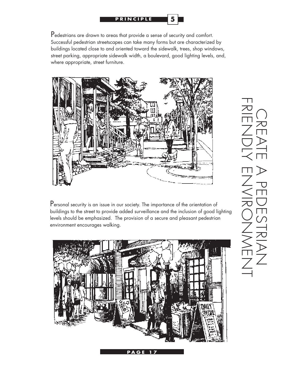

Pedestrians are drawn to areas that provide a sense of security and comfort. Successful pedestrian streetscapes can take many forms but are characterized by buildings located close to and oriented toward the sidewalk, trees, shop windows, street parking, appropriate sidewalk width, a boulevard, good lighting levels, and, where appropriate, street furniture.



Personal security is an issue in our society. The importance of the orientation of buildings to the street to provide added surveillance and the inclusion of good lighting levels should be emphasized. The provision of a secure and pleasant pedestrian environment encourages walking.



**P A G E PAGE 17**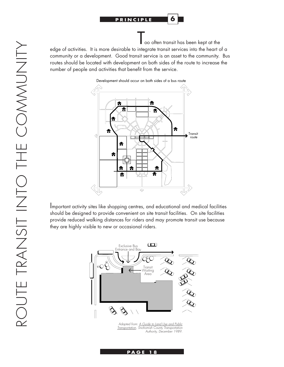

oo often transit has been kept at the

edge of activities. It is more desirable to integrate transit services into the heart of a community or a development. Good transit service is an asset to the community. Bus routes should be located with development on both sides of the route to increase the number of people and activities that benefit from the service.



Important activity sites like shopping centres, and educational and medical facilities should be designed to provide convenient on site transit facilities. On site facilities provide reduced walking distances for riders and may promote transit use because they are highly visible to new or occasional riders.



*Adapted from: A Guide to Land Use and Public Transportation, Snohomish County Transportation Authority, December 1989.*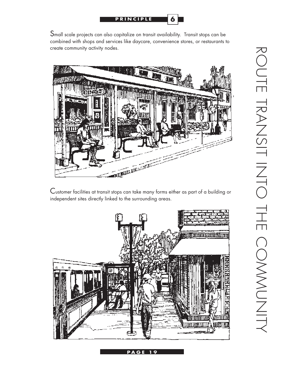

Small scale projects can also capitalize on transit availability. Transit stops can be combined with shops and services like daycare, convenience stores, or restaurants to create community activity nodes.



Customer facilities at transit stops can take many forms either as part of a building or independent sites directly linked to the surrounding areas.

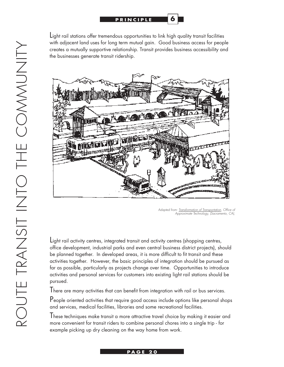

**6**

Light rail stations offer tremendous opportunities to link high quality transit facilities with adjacent land uses for long term mutual gain. Good business access for people creates a mutually supportive relationship. Transit provides business accessibility and the businesses generate transit ridership.



*Adapted from: Transformation of Transportation, Office of Approximate Technology, (Sacramento, CA),*

Light rail activity centres, integrated transit and activity centres (shopping centres, office development, industrial parks and even central business district projects), should be planned together. In developed areas, it is more difficult to fit transit and these activities together. However, the basic principles of integration should be pursued as far as possible, particularly as projects change over time. Opportunities to introduce activities and personal services for customers into existing light rail stations should be pursued.

There are many activities that can benefit from integration with rail or bus services.

People oriented activities that require good access include options like personal shops and services, medical facilities, libraries and some recreational facilities.

These techniques make transit a more attractive travel choice by making it easier and more convenient for transit riders to combine personal chores into a single trip - for example picking up dry cleaning on the way home from work.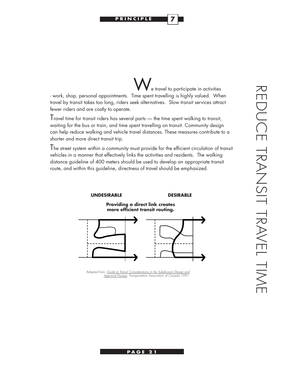**PRINCIPLE 7**

e travel to participate in activities - work, shop, personal appointments. Time spent travelling is highly valued. When travel by transit takes too long, riders seek alternatives. Slow transit services attract fewer riders and are costly to operate.

Travel time for transit riders has several parts — the time spent walking to transit, waiting for the bus or train, and time spent travelling on transit. Community design can help reduce walking and vehicle travel distances. These measures contribute to a shorter and more direct transit trip.

The street system within a community must provide for the efficient circulation of transit vehicles in a manner that effectively links the activities and residents. The walking distance guideline of 400 meters should be used to develop an appropriate transit route, and within this guideline, directness of travel should be emphasized.



*Adapted from: Guide to Transit Considerations in the Subdivision Design and Approval Process, Transportation Association of Canada 1991.*

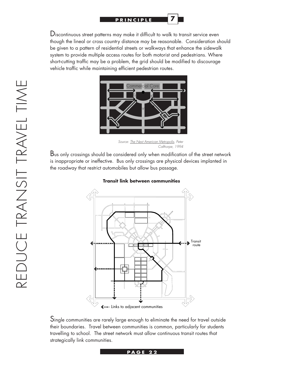

Discontinuous street patterns may make it difficult to walk to transit service even though the lineal or cross country distance may be reasonable. Consideration should be given to a pattern of residential streets or walkways that enhance the sidewalk system to provide multiple access routes for both motorist and pedestrians. Where short-cutting traffic may be a problem, the grid should be modified to discourage vehicle traffic while maintaining efficient pedestrian routes.



*Source: The Next American Metropolis, Peter Calthorpe, 1994*

Bus only crossings should be considered only when modification of the street network is inappropriate or ineffective. Bus only crossings are physical devices implanted in the roadway that restrict automobiles but allow bus passage.



**Transit link between communities**

Single communities are rarely large enough to eliminate the need for travel outside their boundaries. Travel between communities is common, particularly for students travelling to school. The street network must allow continuous transit routes that strategically link communities.

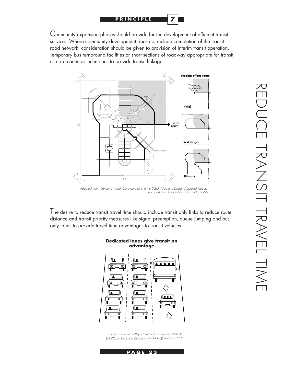

Community expansion phases should provide for the development of efficient transit service. Where community development does not include completion of the transit road network, consideration should be given to provision of interim transit operation. Temporary bus turnaround facilities or short sections of roadway appropriate for transit use are common techniques to provide transit linkage.



The desire to reduce transit travel time should include transit only links to reduce route distance and transit priority measures like signal preemption, queue jumping and bus

only lanes to provide travel time advantages to transit vehicles.



*Source: Preliminary Report on High Occupancy Vehicle (HOV) Facilities and Activities, WSDOT, (January, 1989)*

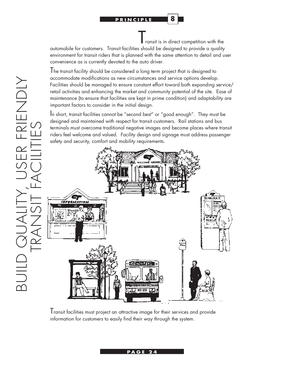ransit is in direct competition with the

**8**

automobile for customers. Transit facilities should be designed to provide a quality environment for transit riders that is planned with the same attention to detail and user convenience as is currently devoted to the auto driver.

The transit facility should be considered a long term project that is designed to accommodate modifications as new circumstances and service options develop. Facilities should be managed to ensure constant effort toward both expanding service/ retail activities and enhancing the market and community potential of the site. Ease of maintenance (to ensure that facilities are kept in prime condition) and adaptability are important factors to consider in the initial design.

In short, transit facilities cannot be "second best" or "good enough". They must be designed and maintained with respect for transit customers. Rail stations and bus terminals must overcome traditional negative images and become places where transit riders feel welcome and valued. Facility design and signage must address passenger safety and security, comfort and mobility requirements.



Transit facilities must project an attractive image for their services and provide information for customers to easily find their way through the system.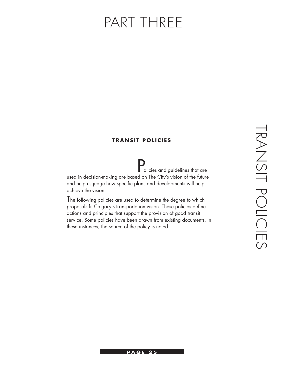## PART THREE

#### **TRANSIT POLICIES**

**Policies and guidelines that are**<br>string of the future used in decision-making are based on The City's vision of the future and help us judge how specific plans and developments will help achieve the vision.

The following policies are used to determine the degree to which proposals fit Calgary's transportation vision. These policies define actions and principles that support the provision of good transit service. Some policies have been drawn from existing documents. In these instances, the source of the policy is noted.

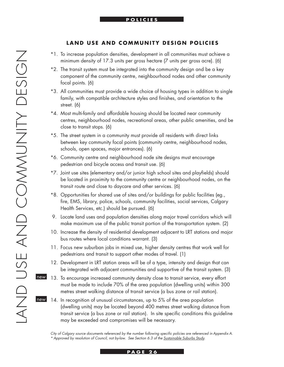#### **LAND USE AND COMMUNITY DESIGN POLICIES**

- \*1. To increase population densities, development in all communities must achieve a minimum density of 17.3 units per gross hectare (7 units per gross acre). (6)
- \*2. The transit system must be integrated into the community design and be a key component of the community centre, neighbourhood nodes and other community focal points. (6)
- \*3. All communities must provide a wide choice of housing types in addition to single family, with compatible architecture styles and finishes, and orientation to the street. (6)
- \*4. Most multi-family and affordable housing should be located near community centres, neighbourhood nodes, recreational areas, other public amenities, and be close to transit stops. (6)
- \*5. The street system in a community must provide all residents with direct links between key community focal points (community centre, neighbourhood nodes, schools, open spaces, major entrances). (6)
- \*6. Community centre and neighbourhood node site designs must encourage pedestrian and bicycle access and transit use. (6)
- \*7. Joint use sites (elementary and/or junior high school sites and playfields) should be located in proximity to the community centre or neighbourhood nodes, on the transit route and close to daycare and other services. (6)
- \*8. Opportunities for shared use of sites and/or buildings for public facilities (eg., fire, EMS, library, police, schools, community facilities, social services, Calgary Health Services, etc.) should be pursued. (6)
- 9. Locate land uses and population densities along major travel corridors which will make maximum use of the public transit portion of the transportation system. (2)
- 10. Increase the density of residential development adjacent to LRT stations and major bus routes where local conditions warrant. (3)
- 11. Focus new suburban jobs in mixed use, higher density centres that work well for pedestrians and transit to support other modes of travel. (1)
- 12. Development in LRT station areas will be of a type, intensity and design that can be integrated with adjacent communities and supportive of the transit system. (3)
- 13. To encourage increased community density close to transit service, every effort must be made to include 70% of the area population (dwelling units) within 300 metres street walking distance of transit service (a bus zone or rail station). new
- 14. In recognition of unusual circumstances, up to 5% of the area population (dwelling units) may be located beyond 400 metres street walking distance from transit service (a bus zone or rail station). In site specific conditions this guideline may be exceeded and compromises will be necessary. new

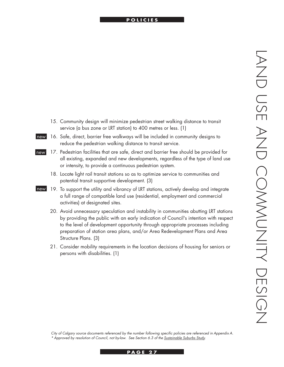#### **INTERNATIONAL POLICIES**

- 15. Community design will minimize pedestrian street walking distance to transit service (a bus zone or LRT station) to 400 metres or less. (1)
- 16. Safe, direct, barrier free walkways will be included in community designs to reduce the pedestrian walking distance to transit service. new
- 17. Pedestrian facilities that are safe, direct and barrier free should be provided for all existing, expanded and new developments, regardless of the type of land use or intensity, to provide a continuous pedestrian system. new
	- 18. Locate light rail transit stations so as to optimize service to communities and potential transit supportive development. (3)
- new 19. To support the utility and vibrancy of LRT stations, actively develop and integrate a full range of compatible land use (residential, employment and commercial activities) at designated sites.
	- 20. Avoid unnecessary speculation and instability in communities abutting LRT stations by providing the public with an early indication of Council's intention with respect to the level of development opportunity through appropriate processes including preparation of station area plans, and/or Area Redevelopment Plans and Area Structure Plans. (3)
	- 21. Consider mobility requirements in the location decisions of housing for seniors or persons with disabilities. (1)

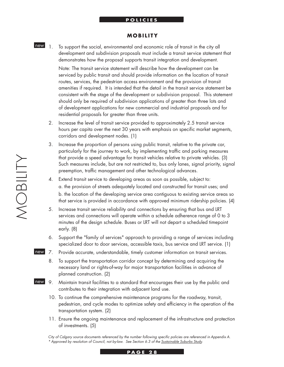#### **PRINCIPLE POLICIES**

#### **MOBILITY**

1. To support the social, environmental and economic role of transit in the city all development and subdivision proposals must include a transit service statement that demonstrates how the proposal supports transit integration and development. new 1

> Note: The transit service statement will describe how the development can be serviced by public transit and should provide information on the location of transit routes, services, the pedestrian access environment and the provision of transit amenities if required. It is intended that the detail in the transit service statement be consistent with the stage of the development or subdivision proposal. This statement should only be required of subdivision applications of greater than three lots and of development applications for new commercial and industrial proposals and for residential proposals for greater than three units.

- 2. Increase the level of transit service provided to approximately 2.5 transit service hours per capita over the next 30 years with emphasis on specific market segments, corridors and development nodes. (1)
- 3. Increase the proportion of persons using public transit, relative to the private car, particularly for the journey to work, by implementing traffic and parking measures that provide a speed advantage for transit vehicles relative to private vehicles. (3) Such measures include, but are not restricted to, bus only lanes, signal priority, signal preemption, traffic management and other technological advances.
- 4. Extend transit service to developing areas as soon as possible, subject to: a. the provision of streets adequately located and constructed for transit uses; and b. the location of the developing service area contiguous to existing service areas so that service is provided in accordance with approved minimum ridership policies. (4)
- 5. Increase transit service reliability and connections by ensuring that bus and LRT services and connections will operate within a schedule adherence range of 0 to 3 minutes of the design schedule. Buses or LRT will not depart a scheduled timepoint early. (8)
- 6. Support the "family of services" approach to providing a range of services including specialized door to door services, accessible taxis, bus service and LRT service. (1)
- new 7. Provide accurate, understandable, timely customer information on transit services.
	- 8. To support the transportation corridor concept by determining and acquiring the necessary land or rights-of-way for major transportation facilities in advance of planned construction. (2)
- Maintain transit facilities to a standard that encourages their use by the public and contributes to their integration with adjacent land use. new 9.
	- 10. To continue the comprehensive maintenance programs for the roadway, transit, pedestrian, and cycle modes to optimize safety and efficiency in the operation of the transportation system. (2)
	- 11. Ensure the ongoing maintenance and replacement of the infrastructure and protection of investments. (5)

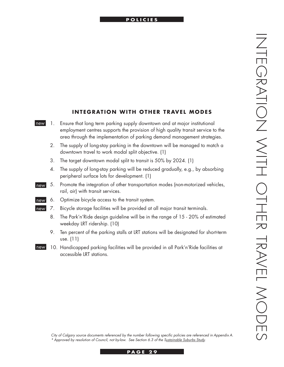#### **INTERNATIONAL POLICIES**

|    | <b>INTEGRATION WITH OTHER TRAVEL MODES</b>                                                                                                                                                                                               |
|----|------------------------------------------------------------------------------------------------------------------------------------------------------------------------------------------------------------------------------------------|
| 1. | Ensure that long term parking supply downtown and at major institutional<br>employment centres supports the provision of high quality transit service to the<br>area through the implementation of parking demand management strategies. |
| 2. | The supply of long-stay parking in the downtown will be managed to match a<br>downtown travel to work modal split objective. (1)                                                                                                         |
| 3. | The target downtown modal split to transit is 50% by 2024. (1)                                                                                                                                                                           |
| 4. | The supply of long-stay parking will be reduced gradually, e.g., by absorbing<br>peripheral surface lots for development. (1)                                                                                                            |
| 5. | Promote the integration of other transportation modes (non-motorized vehicles,<br>rail, air) with transit services.                                                                                                                      |
| 6. | Optimize bicycle access to the transit system.                                                                                                                                                                                           |
| 7. | Bicycle storage facilities will be provided at all major transit terminals.                                                                                                                                                              |
| 8. | The Park'n'Ride design guideline will be in the range of 15 - 20% of estimated<br>weekday LRT ridership. (10)                                                                                                                            |
| 9. | Ten percent of the parking stalls at LRT stations will be designated for short-term<br>use. $(11)$                                                                                                                                       |
|    | 10. Handicapped parking facilities will be provided in all Park'n'Ride facilities at<br>accessible LRT stations.                                                                                                                         |

new

new

new new

new

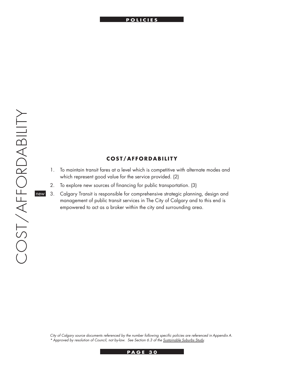#### **PRINCIPLE POLICIES**

#### **COST/AFFORDABILITY**

- 1. To maintain transit fares at a level which is competitive with alternate modes and which represent good value for the service provided. (2)
- 2. To explore new sources of financing for public transportation. (3)
- 3. Calgary Transit is responsible for comprehensive strategic planning, design and management of public transit services in The City of Calgary and to this end is empowered to act as a broker within the city and surrounding area. new

*City of Calgary source documents referenced by the number following specific policies are referenced in Appendix A. \* Approved by resolution of Council, not by-law. See Section 6.3 of the Sustainable Suburbs Study.*

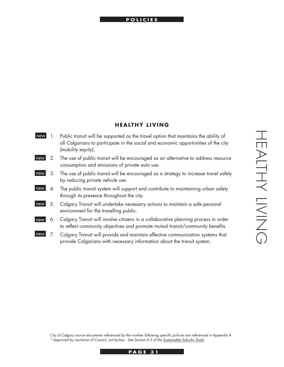#### **INTERNATIONAL POLICIES**

#### **HEALTHY LIVING**

- 1. Public transit will be supported as the travel option that maintains the ability of all Calgarians to participate in the social and economic opportunities of the city (mobility equity). new
- 2. The use of public transit will be encouraged as an alternative to address resource consumption and emissions of private auto use. new
- 3. The use of public transit will be encouraged as a strategy to increase travel safety by reducing private vehicle use. new
- 4. The public transit system will support and contribute to maintaining urban safety through its presence throughout the city. new
- 5. Calgary Transit will undertake necessary actions to maintain a safe personal environment for the travelling public. new
- 6. Calgary Transit will involve citizens in a collaborative planning process in order to reflect community objectives and promote mutual transit/community benefits. new
- 7. Calgary Transit will provide and maintain effective communication systems that provide Calgarians with necessary information about the transit system. new

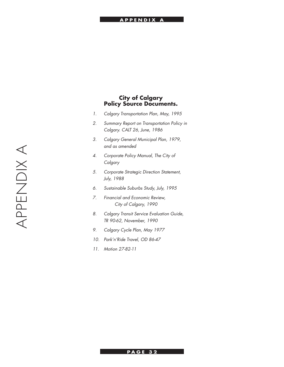#### **PRINCIPLE APPENDIX A**

#### **City of Calgary Policy Source Documents.**

- *1. Calgary Transportation Plan, May, 1995*
- *2. Summary Report on Transportation Policy in Calgary. CALT 26, June, 1986*
- *3. Calgary General Municipal Plan, 1979, and as amended*
- *4. Corporate Policy Manual, The City of Calgary*
- *5. Corporate Strategic Direction Statement, July, 1988*
- *6. Sustainable Suburbs Study, July, 1995*
- *7. Financial and Economic Review, City of Calgary, 1990*
- *8. Calgary Transit Service Evaluation Guide, TR 90-62, November, 1990*
- *9. Calgary Cycle Plan, May 1977*
- *10. Park'n'Ride Travel, OD 86-47*
- *11. Motion 27-82-11*

#### **PAGE 32**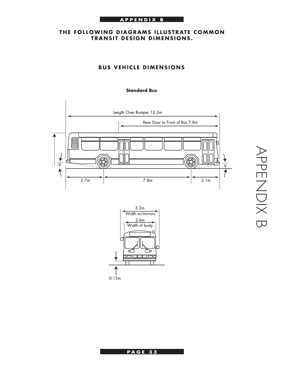#### **INTRODUCTION APPENDIX B**

#### **THE FOLLOWING DIAGRAMS ILLUSTRATE COMMON TRANSIT DESIGN DIMENSIONS.**

#### **BUS VEHICLE DIMENSIONS**

#### **Standard Bus**







**P A G E P A G E 3 3**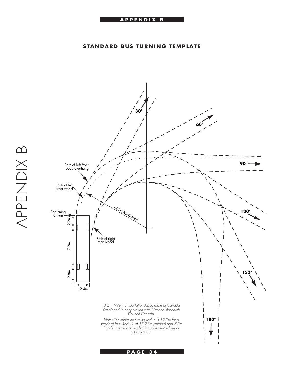#### **APPENDIX B PRINCIPLE**

#### **STANDARD BUS TURNING TEMPLATE**

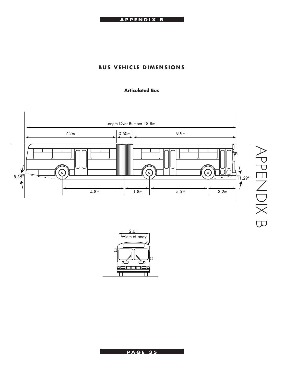

#### **BUS VEHICLE DIMENSIONS**

#### **Articulated Bus**





**PAGE 35**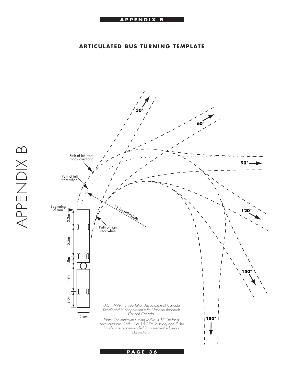#### **ARTICULATED BUS TURNING TEMPLATE**

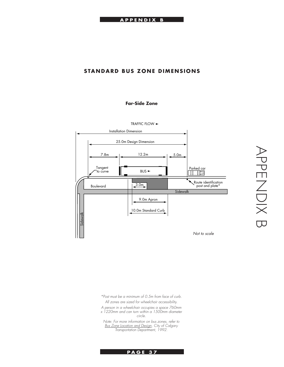#### **INTRODUCTION APPENDIX B**

#### **STANDARD BUS ZONE DIMENSIONS**

#### **Far-Side Zone**



*\*Post must be a minimum of 0.5m from face of curb. All zones are sized for wheelchair accessibility.*

*A person in a wheelchair occupies a space 760mm* 

*x 1220mm and can turn within a 1500mm diameter circle.*

*Note: For more information on bus zones, refer to Bus Zone Location and Design, City of Calgary Transportation Department, 1992.*

APPENDIX B APPENDIX B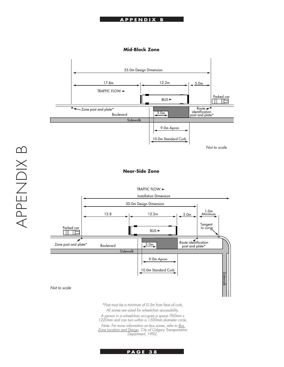#### **APPENDIX B PRINCIPLE**

#### **Mid-Block Zone**



#### **Near-Side Zone**

TRAFFIC FLOW



*\*Post must be a minimum of 0.5m from face of curb.*

*All zones are sized for wheelchair accessibility.*

*A person in a wheelchair occupies a space 760mm x 1220mm and can turn within a 1500mm diameter circle.*

*Note: For more information on bus zones, refer to Bus Zone Location and Design, City of Calgary Transportation Department, 1992.*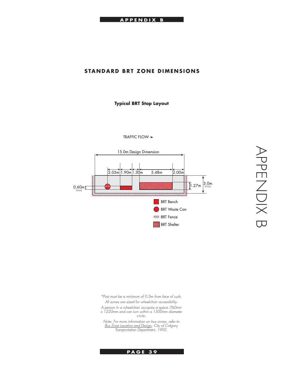#### **STANDARD BRT ZONE DIMENSIONS**

**Typical BRT Stop Layout**



TRAFFIC FLOW ►

*\*Post must be a minimum of 0.5m from face of curb. All zones are sized for wheelchair accessibility.*

*A person in a wheelchair occupies a space 760mm x 1220mm and can turn within a 1500mm diameter* 

*circle.*

*Note: For more information on bus zones, refer to Bus Zone Location and Design, City of Calgary Transportation Department, 1992.*

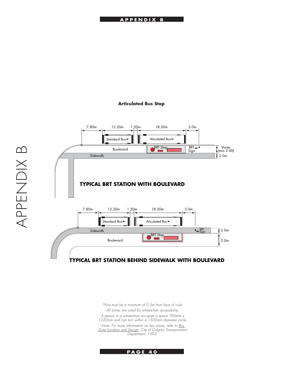#### **Articulated Bus Stop**



*\*Post must be a minimum of 0.5m from face of curb. All zones are sized for wheelchair accessibility. A person in a wheelchair occupies a space 760mm x 1220mm and can turn within a 1500mm diameter circle. Note: For more information on bus zones, refer to Bus Zone Location and Design, City of Calgary Transportation Department, 1992.*

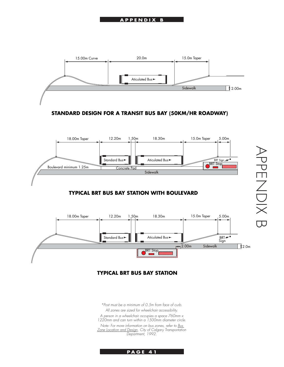

**STANDARD DESIGN FOR A TRANSIT BUS BAY (50KM/HR ROADWAY)**



#### **TYPICAL BRT BUS BAY STATION WITH BOULEVARD**



#### **TYPICAL BRT BUS BAY STATION**

*\*Post must be a minimum of 0.5m from face of curb. All zones are sized for wheelchair accessibility. A person in a wheelchair occupies a space 760mm x 1220mm and can turn within a 1500mm diameter circle. Note: For more information on bus zones, refer to Bus Zone Location and Design, City of Calgary Transportation Department, 1992.*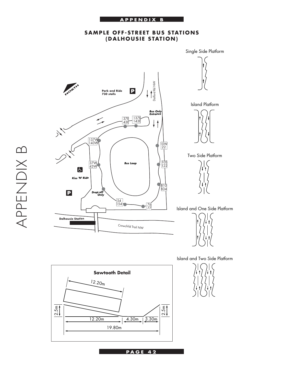

#### **SAMPLE OFF-STREET BUS STATIONS (DALHOUSIE STATION)**



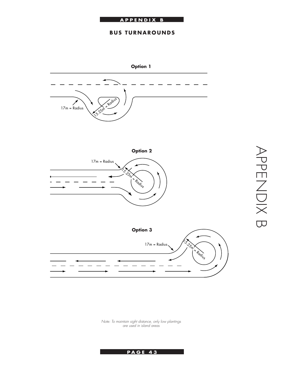#### **INTRODUCTION APPENDIX B**

#### **BUS TURNAROUNDS**



*Note: To maintain sight distance, only low plantings are used in island areas*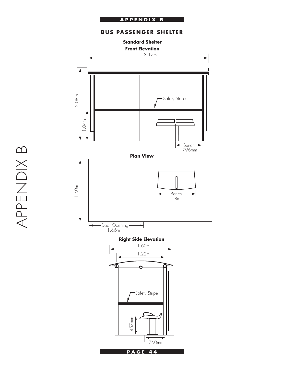#### **APPENDIX B PRINCIPLE**

#### **BUS PASSENGER SHELTER**





APPENDIX B APPENDIX B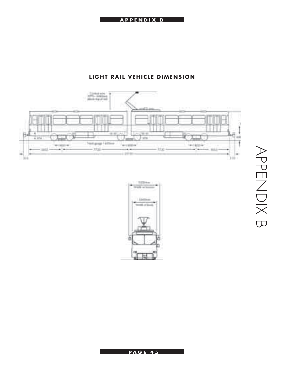#### **INTRODUCTION APPENDIX B**



#### **LIGHT RAIL VEHICLE DIMENSION**



## APPENDIX B APPENDIX B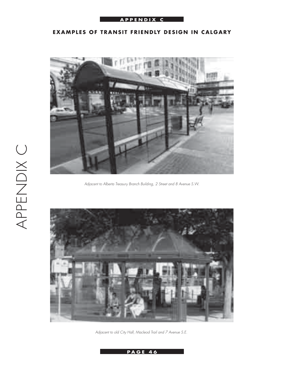#### **APPENDIX C**

#### **EXAMPLES OF TRANSIT FRIENDLY DESIGN IN CALGARY**



*Adjacent to Alberta Treasury Branch Building, 2 Street and 8 Avenue S.W.*



*Adjacent to old City Hall, Macleod Trail and 7 Avenue S.E.*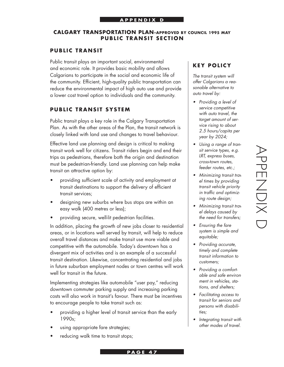#### **CALGARY TRANSPORTATION PLAN–APPROVED BY COUNCIL 1995 MAY PUBLIC TRANSIT SECTION**

#### **PUBLIC TRANSIT**

Public transit plays an important social, environmental and economic role. It provides basic mobility and allows Calgarians to participate in the social and economic life of the community. Efficient, high-quality public transportation can reduce the environmental impact of high auto use and provide a lower cost travel option to individuals and the community.

#### **PUBLIC TRANSIT SYSTEM**

Public transit plays a key role in the Calgary Transportation Plan. As with the other areas of the Plan, the transit network is closely linked with land use and changes to travel behaviour.

Effective land use planning and design is critical to making transit work well for citizens. Transit riders begin and end their trips as pedestrians, therefore both the origin and destination must be pedestrian-friendly. Land use planning can help make transit an attractive option by:

- providing sufficient scale of activity and employment at transit destinations to support the delivery of efficient transit services;
- designing new suburbs where bus stops are within an easy walk (400 metres or less);
- providing secure, well-lit pedestrian facilities.

In addition, placing the growth of new jobs closer to residential areas, or in locations well served by transit, will help to reduce overall travel distances and make transit use more viable and competitive with the automobile. Today's downtown has a divergent mix of activities and is an example of a successful transit destination. Likewise, concentrating residential and jobs in future suburban employment nodes or town centres will work well for transit in the future.

Implementing strategies like automobile "user pay," reducing downtown commuter parking supply and increasing parking costs will also work in transit's favour. There must be incentives to encourage people to take transit such as:

- providing a higher level of transit service than the early 1990s;
- using appropriate fare strategies;
- reducing walk time to transit stops;

#### **KEY POLICY**

*The transit system will offer Calgarians a reasonable alternative to auto travel by:*

- *Providing a level of service competitive with auto travel, the target amount of service rising to about 2.5 hours/capita per year by 2024;*
- *Using a range of transit service types, e.g. LRT, express buses, cross-town routes, feeder routes, etc.;*
- *Minimizing transit travel times by providing transit vehicle priority in traffic and optimizing route design;*
- *Minimizing transit travel delays caused by the need for transfers;*
- *Ensuring the fare system is simple and equitable;*
- *Providing accurate, timely and complete transit information to customers;*
- *Providing a comfortable and safe environment in vehicles, stations, and shelters;*
- *Facilitating access to transit for seniors and persons with disabilities;*
- *Integrating transit with other modes of travel.*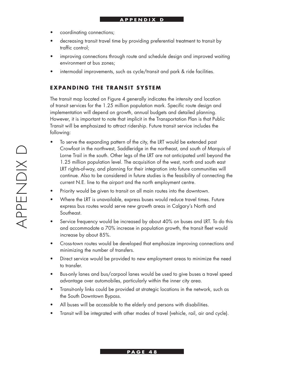- coordinating connections;
- decreasing transit travel time by providing preferential treatment to transit by traffic control;
- improving connections through route and schedule design and improved waiting environment at bus zones;
- intermodal improvements, such as cycle/transit and park & ride facilities.

#### **EXPANDING THE TRANSIT SYSTEM**

The transit map located on Figure 4 generally indicates the intensity and location of transit services for the 1.25 million population mark. Specific route design and implementation will depend on growth, annual budgets and detailed planning. However, it is important to note that implicit in the Transportation Plan is that Public Transit will be emphasized to attract ridership. Future transit service includes the following:

- To serve the expanding pattern of the city, the LRT would be extended past Crowfoot in the northwest, Saddleridge in the northeast, and south of Marquis of Lorne Trail in the south. Other legs of the LRT are not anticipated until beyond the 1.25 million population level. The acquisition of the west, north and south east LRT rights-of-way, and planning for their integration into future communities will continue. Also to be considered in future studies is the feasibility of connecting the current N.E. line to the airport and the north employment centre.
- Priority would be given to transit on all main routes into the downtown.
- Where the LRT is unavailable, express buses would reduce travel times. Future express bus routes would serve new growth areas in Calgary's North and Southeast.
- Service frequency would be increased by about 40% on buses and LRT. To do this and accommodate a 70% increase in population growth, the transit fleet would increase by about 85%.
- Cross-town routes would be developed that emphasize improving connections and minimizing the number of transfers.
- Direct service would be provided to new employment areas to minimize the need to transfer.
- Bus-only lanes and bus/carpool lanes would be used to give buses a travel speed advantage over automobiles, particularly within the inner city area.
- Transit-only links could be provided at strategic locations in the network, such as the South Downtown Bypass.
- All buses will be accessible to the elderly and persons with disabilities.
- Transit will be integrated with other modes of travel (vehicle, rail, air and cycle).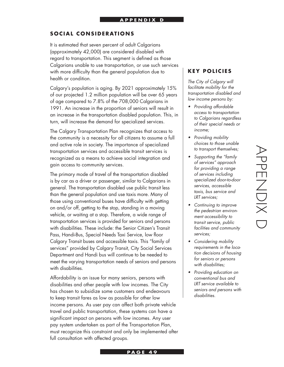#### **SOCIAL CONSIDERATIONS**

It is estimated that seven percent of adult Calgarians (approximately 42,000) are considered disabled with regard to transportation. This segment is defined as those Calgarians unable to use transportation, or use such services with more difficulty than the general population due to health or condition.

Calgary's population is aging. By 2021 approximately 15% of our projected 1.2 million population will be over 65 years of age compared to 7.8% of the 708,000 Calgarians in 1991. An increase in the proportion of seniors will result in an increase in the transportation disabled population. This, in turn, will increase the demand for specialized services.

The Calgary Transportation Plan recognizes that access to the community is a necessity for all citizens to assume a full and active role in society. The importance of specialized transportation services and accessible transit services is recognized as a means to achieve social integration and gain access to community services.

The primary mode of travel of the transportation disabled is by car as a driver or passenger, similar to Calgarians in general. The transportation disabled use public transit less than the general population and use taxis more. Many of those using conventional buses have difficulty with getting on and/or off, getting to the stop, standing in a moving vehicle, or waiting at a stop. Therefore, a wide range of transportation services is provided for seniors and persons with disabilities. These include: the Senior Citizen's Transit Pass, Handi-Bus, Special Needs Taxi Service, low floor Calgary Transit buses and accessible taxis. This "family of services" provided by Calgary Transit, City Social Services Department and Handi bus will continue to be needed to meet the varying transportation needs of seniors and persons with disabilities.

Affordability is an issue for many seniors, persons with disabilities and other people with low incomes. The City has chosen to subsidize some customers and endeavours to keep transit fares as low as possible for other low income persons. As user pay can affect both private vehicle travel and public transportation, these systems can have a significant impact on persons with low incomes. Any user pay system undertaken as part of the Transportation Plan, must recognize this constraint and only be implemented after full consultation with affected groups.

#### **KEY POLICIES**

*The City of Calgary will facilitate mobility for the transportation disabled and low income persons by:*

- *Providing affordable access to transportation to Calgarians regardless of their special needs or income;*
- *Providing mobility choices to those unable to transport themselves;*
- *Supporting the "family of services" approach for providing a range of services including specialized door-to-door services, accessible taxis, bus service and LRT services;*
- *Continuing to improve the pedestrian environment accessibility to transit service, public facilities and community services;*
- *Considering mobility requirements in the location decisions of housing for seniors or persons with disabilities;*
- *Providing education on conventional bus and LRT service available to seniors and persons with disabilities.*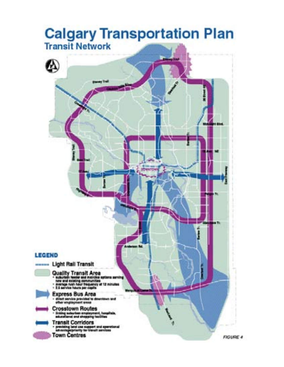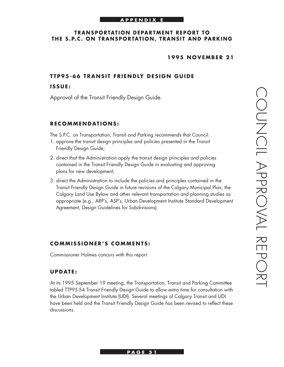#### **APPENDIX E**

#### **TRANSPORTATION DEPARTMENT REPORT TO THE S.P.C. ON TRANSPORTATION, TRANSIT AND PARKING**

#### **1 9 9 5 N O V EM B E R 2 1**

#### **TTP95-66 TRANSIT FRIENDLY DESIGN GUIDE**

#### **I S S U E :**

Approval of the Transit Friendly Design Guide.

#### **R E C OMM E N D AT I O N S :**

The S.P.C. on Transportation, Transit and Parking recommends that Council:

- 1. approve the transit design principles and policies presented in the Transit Friendly Design Guide;
- 2. direct that the Administration apply the transit design principles and policies contained in the Transit Friendly Design Guide in evaluating and approving plans for new development;
- 3. direct the Administration to include the policies and principles contained in the Transit Friendly Design Guide in future revisions of the Calgary Municipal Plan, the Calgary Land Use Bylaw and other relevant transportation and planning studies as appropriate (e.g., ARP's, ASP's, Urban Development Institute Standard Development Agreement, Design Guidelines for Subdivisions).

#### **COMMISSIONER'S COMMENTS:**

Commissioner Holmes concurs with this report.

#### **UPDATE:**

At its 1995 September 19 meeting, the Transportation, Transit and Parking Committee tabled TTP95-54 Transit Friendly Design Guide to allow extra time for consultation with the Urban Development Institute (UDI). Several meetings of Calgary Transit and UDI have been held and the Transit Friendly Design Guide has been revised to reflect these discussions.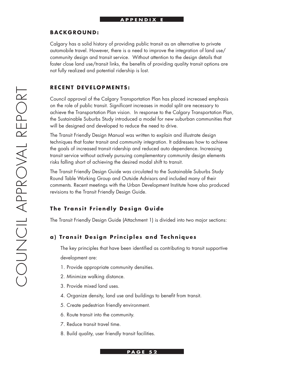#### **APPENDIX E**

#### **B A C K G R O U N D :**

Calgary has a solid history of providing public transit as an alternative to private automobile travel. However, there is a need to improve the integration of land use/ community design and transit service. Without attention to the design details that foster close land use/transit links, the benefits of providing quality transit options are not fully realized and potential ridership is lost.

#### **RECENT DEVELOPMENTS:**

Council approval of the Calgary Transportation Plan has placed increased emphasis on the role of public transit. Significant increases in modal split are necessary to achieve the Transportation Plan vision. In response to the Calgary Transportation Plan, the Sustainable Suburbs Study introduced a model for new suburban communities that will be designed and developed to reduce the need to drive.

The Transit Friendly Design Manual was written to explain and illustrate design techniques that foster transit and community integration. It addresses how to achieve the goals of increased transit ridership and reduced auto dependence. Increasing transit service without actively pursuing complementary community design elements risks falling short of achieving the desired modal shift to transit.

The Transit Friendly Design Guide was circulated to the Sustainable Suburbs Study Round Table Working Group and Outside Advisors and included many of their comments. Recent meetings with the Urban Development Institute have also produced revisions to the Transit Friendly Design Guide.

#### **The Transit Friendly Design Guide**

The Transit Friendly Design Guide (Attachment 1) is divided into two major sections:

#### **a) Transit Design Principles and Techniques**

The key principles that have been identified as contributing to transit supportive development are:

- 1. Provide appropriate community densities.
- 2. Minimize walking distance.
- 3. Provide mixed land uses.
- 4. Organize density, land use and buildings to benefit from transit.
- 5. Create pedestrian friendly environment.
- 6. Route transit into the community.
- 7. Reduce transit travel time.
- 8. Build quality, user friendly transit facilities.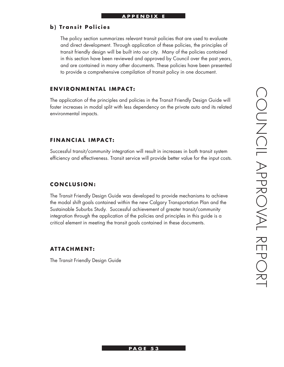#### **b**) Transit Policies

The policy section summarizes relevant transit policies that are used to evaluate and direct development. Through application of these policies, the principles of transit friendly design will be built into our city. Many of the policies contained in this section have been reviewed and approved by Council over the past years, and are contained in many other documents. These policies have been presented to provide a comprehensive compilation of transit policy in one document.

#### **ENVIRONMENTAL IMPACT:**

The application of the principles and policies in the Transit Friendly Design Guide will foster increases in modal split with less dependency on the private auto and its related environmental impacts.

#### **FINANCIAL IMPACT:**

Successful transit/community integration will result in increases in both transit system efficiency and effectiveness. Transit service will provide better value for the input costs.

#### **C O N C L U S I O N :**

The Transit Friendly Design Guide was developed to provide mechanisms to achieve the modal shift goals contained within the new Calgary Transportation Plan and the Sustainable Suburbs Study. Successful achievement of greater transit/community integration through the application of the policies and principles in this guide is a critical element in meeting the transit goals contained in these documents.

#### **AT TA C HM E N T :**

The Transit Friendly Design Guide

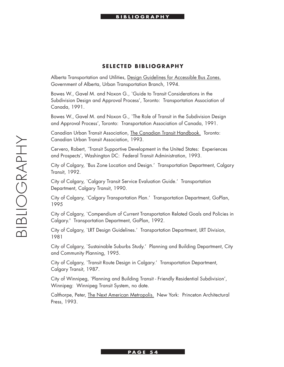#### **SELECTED BIBLIOGRAPHY**

Alberta Transportation and Utilities, Design Guidelines for Accessible Bus Zones. Government of Alberta, Urban Transportation Branch, 1994.

Bowes W., Gavel M. and Noxon G., `Guide to Transit Considerations in the Subdivision Design and Approval Process', Toronto: Transportation Association of Canada, 1991.

Bowes W., Gavel M. and Noxon G., `The Role of Transit in the Subdivision Design and Approval Process', Toronto: Transportation Association of Canada, 1991.

Canadian Urban Transit Association, The Canadian Transit Handbook. Toronto: Canadian Urban Transit Association, 1993.

Cervero, Robert, `Transit Supportive Development in the United States: Experiences and Prospects', Washington DC: Federal Transit Administration, 1993.

City of Calgary, `Bus Zone Location and Design.' Transportation Department, Calgary Transit, 1992.

City of Calgary, `Calgary Transit Service Evaluation Guide.' Transportation Department, Calgary Transit, 1990.

City of Calgary, `Calgary Transportation Plan.' Transportation Department, GoPlan, 1995

City of Calgary, `Compendium of Current Transportation Related Goals and Policies in Calgary.' Transportation Department, GoPlan, 1992.

City of Calgary, `LRT Design Guidelines.' Transportation Department, LRT Division, 1981

City of Calgary, `Sustainable Suburbs Study.' Planning and Building Department, City and Community Planning, 1995.

City of Calgary, `Transit Route Design in Calgary.' Transportation Department, Calgary Transit, 1987.

City of Winnipeg, `Planning and Building Transit - Friendly Residential Subdivision', Winnipeg: Winnipeg Transit System, no date.

Calthorpe, Peter, The Next American Metropolis. New York: Princeton Architectural Press, 1993.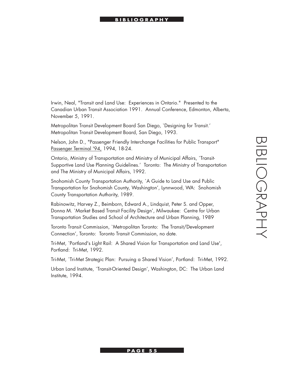# BIBLIOGRAPHYBIBLIOGRAPHY

#### **BIBLIOGRAPHY**

Irwin, Neal, "Transit and Land Use: Experiences in Ontario." Presented to the Canadian Urban Transit Association 1991. Annual Conference, Edmonton, Alberta, November 5, 1991.

Metropolitan Transit Development Board San Diego, `Designing for Transit.' Metropolitan Transit Development Board, San Diego, 1993.

Nelson, John D., "Passenger Friendly Interchange Facilities for Public Transport" Passenger Terminal '94, 1994, 18-24.

Ontario, Ministry of Transportation and Ministry of Municipal Affairs, `Transit-Supportive Land Use Planning Guidelines.' Toronto: The Ministry of Transportation and The Ministry of Municipal Affairs, 1992.

Snohomish County Transportation Authority, `A Guide to Land Use and Public Transportation for Snohomish County, Washington', Lynnwood, WA: Snohomish County Transportation Authority, 1989.

Rabinowitz, Harvey Z., Beimborn, Edward A., Lindquist, Peter S. and Opper, Donna M. `Market Based Transit Facility Design', Milwaukee: Centre for Urban Transportation Studies and School of Architecture and Urban Planning, 1989

Toronto Transit Commission, `Metropolitan Toronto: The Transit/Development Connection', Toronto: Toronto Transit Commission, no date.

Tri-Met, `Portland's Light Rail: A Shared Vision for Transportation and Land Use', Portland: Tri-Met, 1992.

Tri-Met, `Tri-Met Strategic Plan: Pursuing a Shared Vision', Portland: Tri-Met, 1992.

Urban Land Institute, `Transit-Oriented Design', Washington, DC: The Urban Land Institute, 1994.